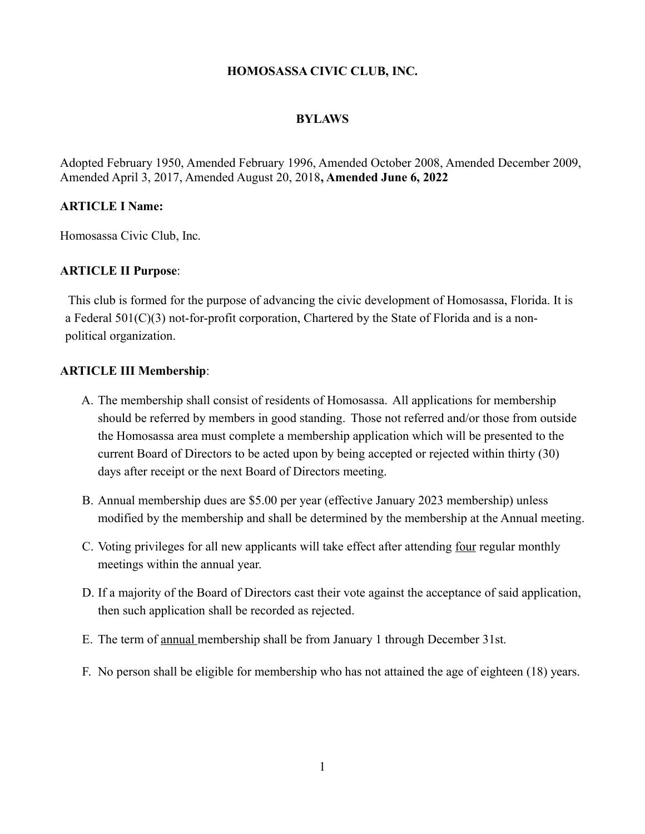#### **HOMOSASSA CIVIC CLUB, INC.**

#### **BYLAWS**

Adopted February 1950, Amended February 1996, Amended October 2008, Amended December 2009, Amended April 3, 2017, Amended August 20, 2018**, Amended June 6, 2022**

## **ARTICLE I Name:**

Homosassa Civic Club, Inc.

#### **ARTICLE II Purpose**:

This club is formed for the purpose of advancing the civic development of Homosassa, Florida. It is a Federal 501(C)(3) not-for-profit corporation, Chartered by the State of Florida and is a nonpolitical organization.

#### **ARTICLE III Membership**:

- A. The membership shall consist of residents of Homosassa. All applications for membership should be referred by members in good standing. Those not referred and/or those from outside the Homosassa area must complete a membership application which will be presented to the current Board of Directors to be acted upon by being accepted or rejected within thirty (30) days after receipt or the next Board of Directors meeting.
- B. Annual membership dues are \$5.00 per year (effective January 2023 membership) unless modified by the membership and shall be determined by the membership at the Annual meeting.
- C. Voting privileges for all new applicants will take effect after attending four regular monthly meetings within the annual year.
- D. If a majority of the Board of Directors cast their vote against the acceptance of said application, then such application shall be recorded as rejected.
- E. The term of annual membership shall be from January 1 through December 31st.
- F. No person shall be eligible for membership who has not attained the age of eighteen (18) years.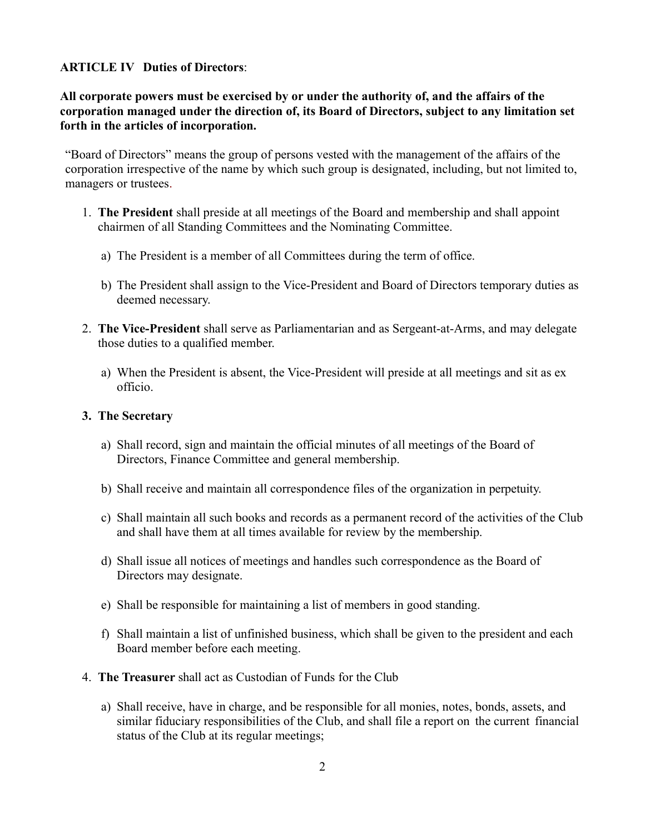## **ARTICLE IV Duties of Directors**:

**All corporate powers must be exercised by or under the authority of, and the affairs of the corporation managed under the direction of, its Board of Directors, subject to any limitation set forth in the articles of incorporation.**

"Board of Directors" means the group of persons vested with the management of the affairs of the corporation irrespective of the name by which such group is designated, including, but not limited to, managers or trustees.

- 1. **The President** shall preside at all meetings of the Board and membership and shall appoint chairmen of all Standing Committees and the Nominating Committee.
	- a) The President is a member of all Committees during the term of office.
	- b) The President shall assign to the Vice-President and Board of Directors temporary duties as deemed necessary.
- 2. **The Vice-President** shall serve as Parliamentarian and as Sergeant-at-Arms, and may delegate those duties to a qualified member.
	- a) When the President is absent, the Vice-President will preside at all meetings and sit as ex officio.

### **3. The Secretary**

- a) Shall record, sign and maintain the official minutes of all meetings of the Board of Directors, Finance Committee and general membership.
- b) Shall receive and maintain all correspondence files of the organization in perpetuity.
- c) Shall maintain all such books and records as a permanent record of the activities of the Club and shall have them at all times available for review by the membership.
- d) Shall issue all notices of meetings and handles such correspondence as the Board of Directors may designate.
- e) Shall be responsible for maintaining a list of members in good standing.
- f) Shall maintain a list of unfinished business, which shall be given to the president and each Board member before each meeting.
- 4. **The Treasurer** shall act as Custodian of Funds for the Club
	- a) Shall receive, have in charge, and be responsible for all monies, notes, bonds, assets, and similar fiduciary responsibilities of the Club, and shall file a report on the current financial status of the Club at its regular meetings;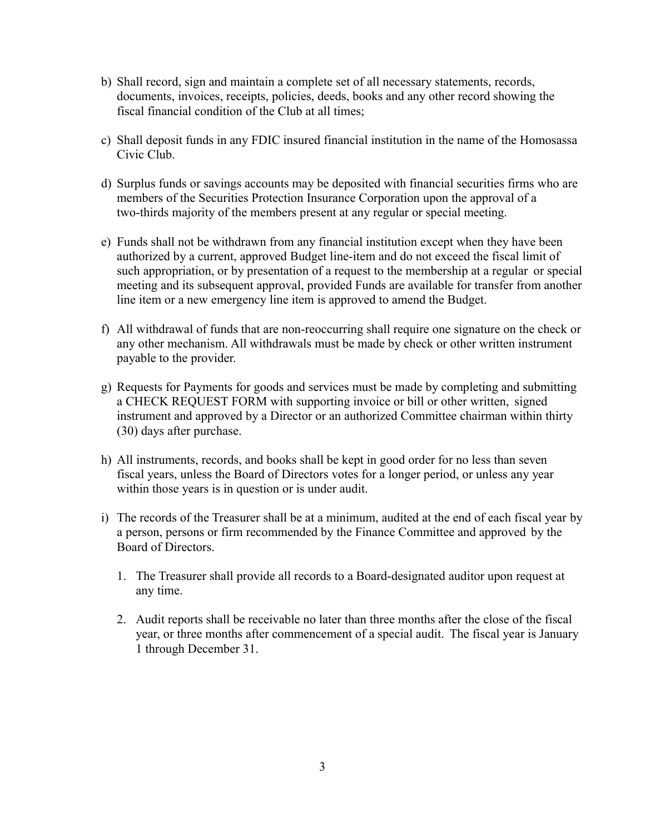- b) Shall record, sign and maintain a complete set of all necessary statements, records, documents, invoices, receipts, policies, deeds, books and any other record showing the fiscal financial condition of the Club at all times;
- c) Shall deposit funds in any FDIC insured financial institution in the name of the Homosassa Civic Club.
- d) Surplus funds or savings accounts may be deposited with financial securities firms who are members of the Securities Protection Insurance Corporation upon the approval of a two-thirds majority of the members present at any regular or special meeting.
- e) Funds shall not be withdrawn from any financial institution except when they have been authorized by a current, approved Budget line-item and do not exceed the fiscal limit of such appropriation, or by presentation of a request to the membership at a regular or special meeting and its subsequent approval, provided Funds are available for transfer from another line item or a new emergency line item is approved to amend the Budget.
- f) All withdrawal of funds that are non-reoccurring shall require one signature on the check or any other mechanism. All withdrawals must be made by check or other written instrument payable to the provider.
- g) Requests for Payments for goods and services must be made by completing and submitting a CHECK REQUEST FORM with supporting invoice or bill or other written, signed instrument and approved by a Director or an authorized Committee chairman within thirty (30) days after purchase.
- h) All instruments, records, and books shall be kept in good order for no less than seven fiscal years, unless the Board of Directors votes for a longer period, or unless any year within those years is in question or is under audit.
- i) The records of the Treasurer shall be at a minimum, audited at the end of each fiscal year by a person, persons or firm recommended by the Finance Committee and approved by the Board of Directors.
	- 1. The Treasurer shall provide all records to a Board-designated auditor upon request at any time.
	- 2. Audit reports shall be receivable no later than three months after the close of the fiscal year, or three months after commencement of a special audit. The fiscal year is January 1 through December 31.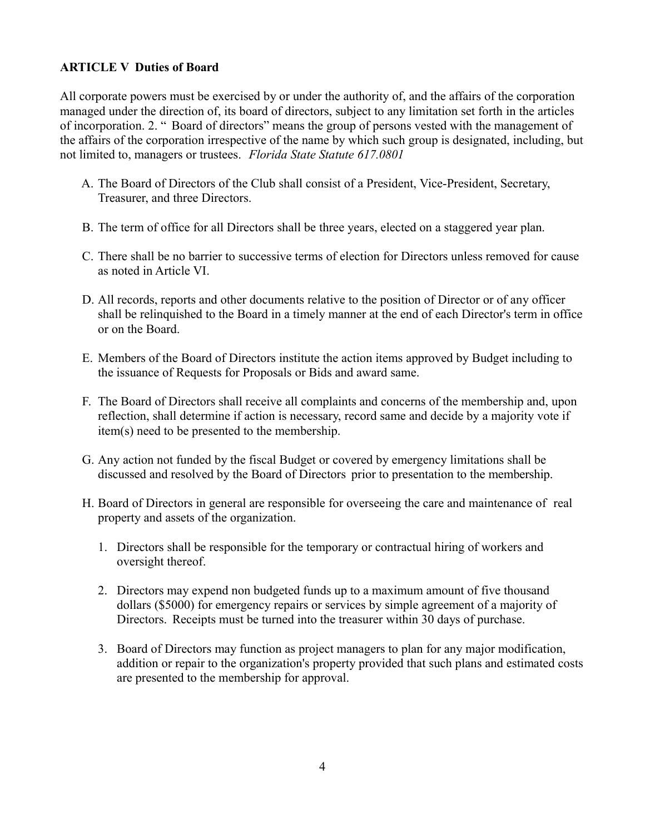# **ARTICLE V Duties of Board**

All corporate powers must be exercised by or under the authority of, and the affairs of the corporation managed under the direction of, its board of directors, subject to any limitation set forth in the articles of incorporation. 2. " Board of directors" means the group of persons vested with the management of the affairs of the corporation irrespective of the name by which such group is designated, including, but not limited to, managers or trustees. *Florida State Statute 617.0801*

- A. The Board of Directors of the Club shall consist of a President, Vice-President, Secretary, Treasurer, and three Directors.
- B. The term of office for all Directors shall be three years, elected on a staggered year plan.
- C. There shall be no barrier to successive terms of election for Directors unless removed for cause as noted in Article VI.
- D. All records, reports and other documents relative to the position of Director or of any officer shall be relinquished to the Board in a timely manner at the end of each Director's term in office or on the Board.
- E. Members of the Board of Directors institute the action items approved by Budget including to the issuance of Requests for Proposals or Bids and award same.
- F. The Board of Directors shall receive all complaints and concerns of the membership and, upon reflection, shall determine if action is necessary, record same and decide by a majority vote if item(s) need to be presented to the membership.
- G. Any action not funded by the fiscal Budget or covered by emergency limitations shall be discussed and resolved by the Board of Directors prior to presentation to the membership.
- H. Board of Directors in general are responsible for overseeing the care and maintenance of real property and assets of the organization.
	- 1. Directors shall be responsible for the temporary or contractual hiring of workers and oversight thereof.
	- 2. Directors may expend non budgeted funds up to a maximum amount of five thousand dollars (\$5000) for emergency repairs or services by simple agreement of a majority of Directors. Receipts must be turned into the treasurer within 30 days of purchase.
	- 3. Board of Directors may function as project managers to plan for any major modification, addition or repair to the organization's property provided that such plans and estimated costs are presented to the membership for approval.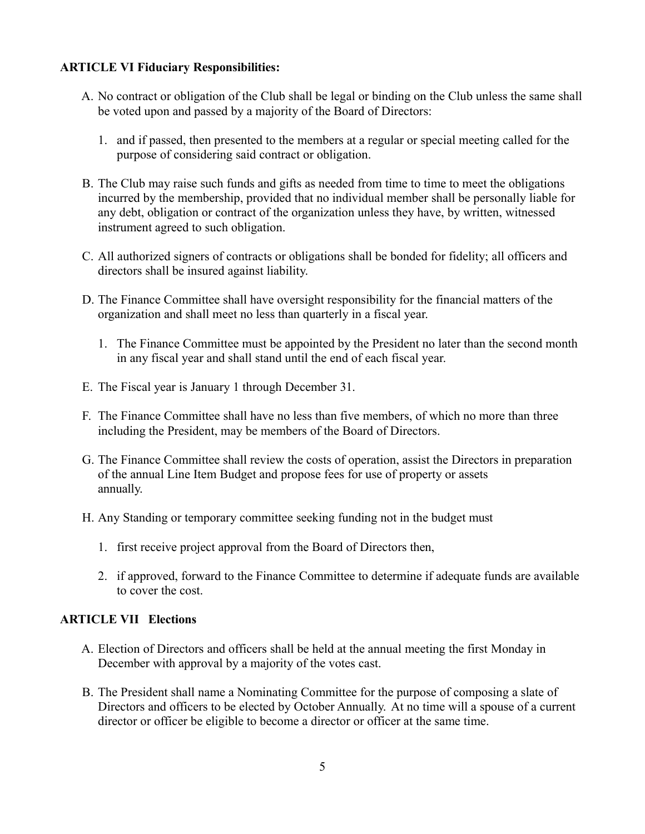# **ARTICLE VI Fiduciary Responsibilities:**

- A. No contract or obligation of the Club shall be legal or binding on the Club unless the same shall be voted upon and passed by a majority of the Board of Directors:
	- 1. and if passed, then presented to the members at a regular or special meeting called for the purpose of considering said contract or obligation.
- B. The Club may raise such funds and gifts as needed from time to time to meet the obligations incurred by the membership, provided that no individual member shall be personally liable for any debt, obligation or contract of the organization unless they have, by written, witnessed instrument agreed to such obligation.
- C. All authorized signers of contracts or obligations shall be bonded for fidelity; all officers and directors shall be insured against liability.
- D. The Finance Committee shall have oversight responsibility for the financial matters of the organization and shall meet no less than quarterly in a fiscal year.
	- 1. The Finance Committee must be appointed by the President no later than the second month in any fiscal year and shall stand until the end of each fiscal year.
- E. The Fiscal year is January 1 through December 31.
- F. The Finance Committee shall have no less than five members, of which no more than three including the President, may be members of the Board of Directors.
- G. The Finance Committee shall review the costs of operation, assist the Directors in preparation of the annual Line Item Budget and propose fees for use of property or assets annually.
- H. Any Standing or temporary committee seeking funding not in the budget must
	- 1. first receive project approval from the Board of Directors then,
	- 2. if approved, forward to the Finance Committee to determine if adequate funds are available to cover the cost.

## **ARTICLE VII Elections**

- A. Election of Directors and officers shall be held at the annual meeting the first Monday in December with approval by a majority of the votes cast.
- B. The President shall name a Nominating Committee for the purpose of composing a slate of Directors and officers to be elected by October Annually. At no time will a spouse of a current director or officer be eligible to become a director or officer at the same time.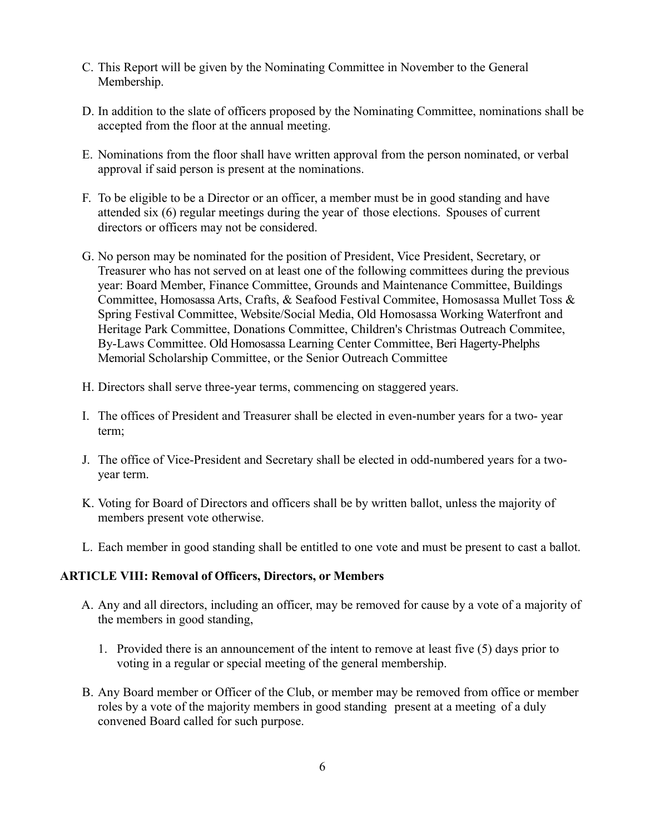- C. This Report will be given by the Nominating Committee in November to the General Membership.
- D. In addition to the slate of officers proposed by the Nominating Committee, nominations shall be accepted from the floor at the annual meeting.
- E. Nominations from the floor shall have written approval from the person nominated, or verbal approval if said person is present at the nominations.
- F. To be eligible to be a Director or an officer, a member must be in good standing and have attended six (6) regular meetings during the year of those elections. Spouses of current directors or officers may not be considered.
- G. No person may be nominated for the position of President, Vice President, Secretary, or Treasurer who has not served on at least one of the following committees during the previous year: Board Member, Finance Committee, Grounds and Maintenance Committee, Buildings Committee, Homosassa Arts, Crafts, & Seafood Festival Commitee, Homosassa Mullet Toss & Spring Festival Committee, Website/Social Media, Old Homosassa Working Waterfront and Heritage Park Committee, Donations Committee, Children's Christmas Outreach Commitee, By-Laws Committee. Old Homosassa Learning Center Committee, Beri Hagerty-Phelphs Memorial Scholarship Committee, or the Senior Outreach Committee
- H. Directors shall serve three-year terms, commencing on staggered years.
- I. The offices of President and Treasurer shall be elected in even-number years for a two- year term;
- J. The office of Vice-President and Secretary shall be elected in odd-numbered years for a twoyear term.
- K. Voting for Board of Directors and officers shall be by written ballot, unless the majority of members present vote otherwise.
- L. Each member in good standing shall be entitled to one vote and must be present to cast a ballot.

## **ARTICLE VIII: Removal of Officers, Directors, or Members**

- A. Any and all directors, including an officer, may be removed for cause by a vote of a majority of the members in good standing,
	- 1. Provided there is an announcement of the intent to remove at least five (5) days prior to voting in a regular or special meeting of the general membership.
- B. Any Board member or Officer of the Club, or member may be removed from office or member roles by a vote of the majority members in good standing present at a meeting of a duly convened Board called for such purpose.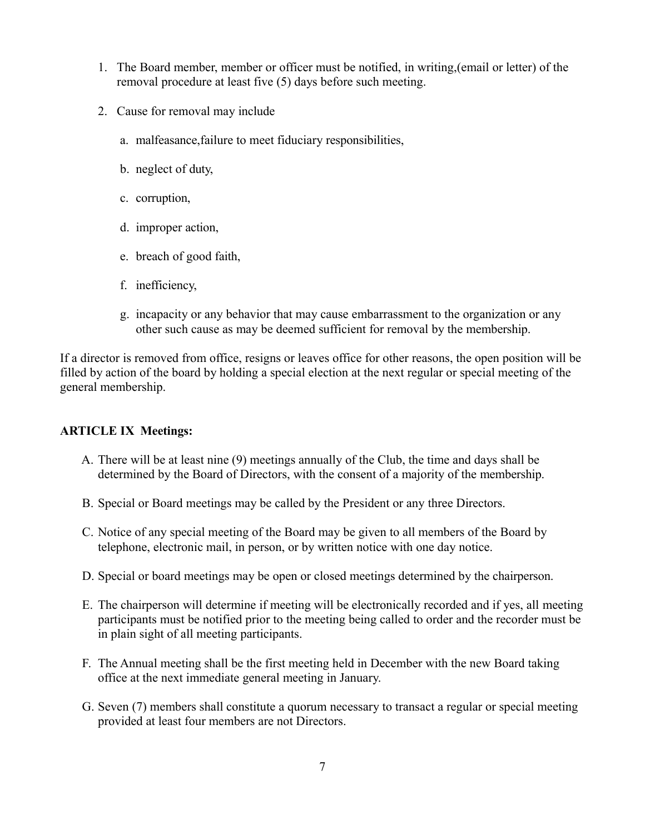- 1. The Board member, member or officer must be notified, in writing,(email or letter) of the removal procedure at least five (5) days before such meeting.
- 2. Cause for removal may include
	- a. malfeasance,failure to meet fiduciary responsibilities,
	- b. neglect of duty,
	- c. corruption,
	- d. improper action,
	- e. breach of good faith,
	- f. inefficiency,
	- g. incapacity or any behavior that may cause embarrassment to the organization or any other such cause as may be deemed sufficient for removal by the membership.

If a director is removed from office, resigns or leaves office for other reasons, the open position will be filled by action of the board by holding a special election at the next regular or special meeting of the general membership.

## **ARTICLE IX Meetings:**

- A. There will be at least nine (9) meetings annually of the Club, the time and days shall be determined by the Board of Directors, with the consent of a majority of the membership.
- B. Special or Board meetings may be called by the President or any three Directors.
- C. Notice of any special meeting of the Board may be given to all members of the Board by telephone, electronic mail, in person, or by written notice with one day notice.
- D. Special or board meetings may be open or closed meetings determined by the chairperson.
- E. The chairperson will determine if meeting will be electronically recorded and if yes, all meeting participants must be notified prior to the meeting being called to order and the recorder must be in plain sight of all meeting participants.
- F. The Annual meeting shall be the first meeting held in December with the new Board taking office at the next immediate general meeting in January.
- G. Seven (7) members shall constitute a quorum necessary to transact a regular or special meeting provided at least four members are not Directors.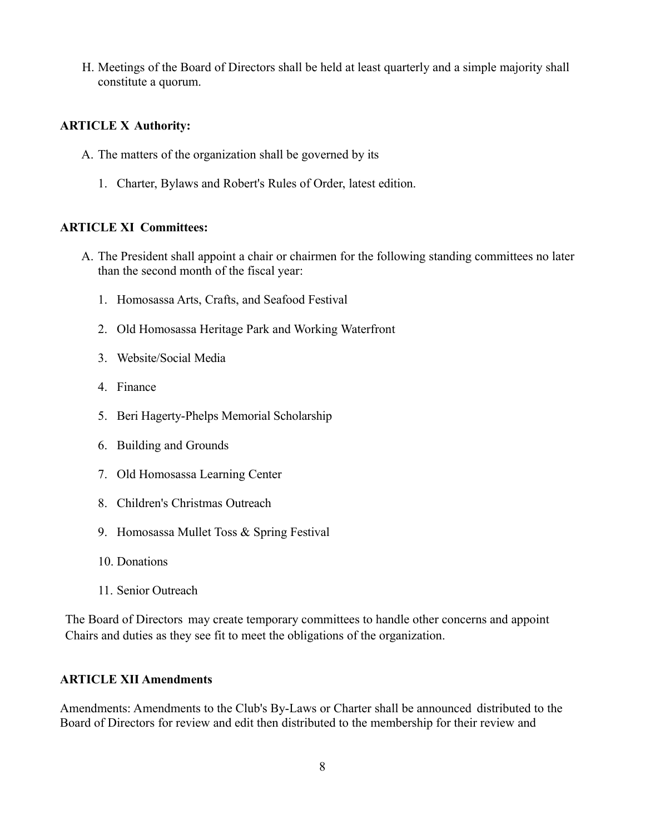H. Meetings of the Board of Directors shall be held at least quarterly and a simple majority shall constitute a quorum.

## **ARTICLE X Authority:**

- A. The matters of the organization shall be governed by its
	- 1. Charter, Bylaws and Robert's Rules of Order, latest edition.

## **ARTICLE XI Committees:**

- A. The President shall appoint a chair or chairmen for the following standing committees no later than the second month of the fiscal year:
	- 1. Homosassa Arts, Crafts, and Seafood Festival
	- 2. Old Homosassa Heritage Park and Working Waterfront
	- 3. Website/Social Media
	- 4. Finance
	- 5. Beri Hagerty-Phelps Memorial Scholarship
	- 6. Building and Grounds
	- 7. Old Homosassa Learning Center
	- 8. Children's Christmas Outreach
	- 9. Homosassa Mullet Toss & Spring Festival
	- 10. Donations
	- 11. Senior Outreach

The Board of Directors may create temporary committees to handle other concerns and appoint Chairs and duties as they see fit to meet the obligations of the organization.

## **ARTICLE XII Amendments**

Amendments: Amendments to the Club's By-Laws or Charter shall be announced distributed to the Board of Directors for review and edit then distributed to the membership for their review and